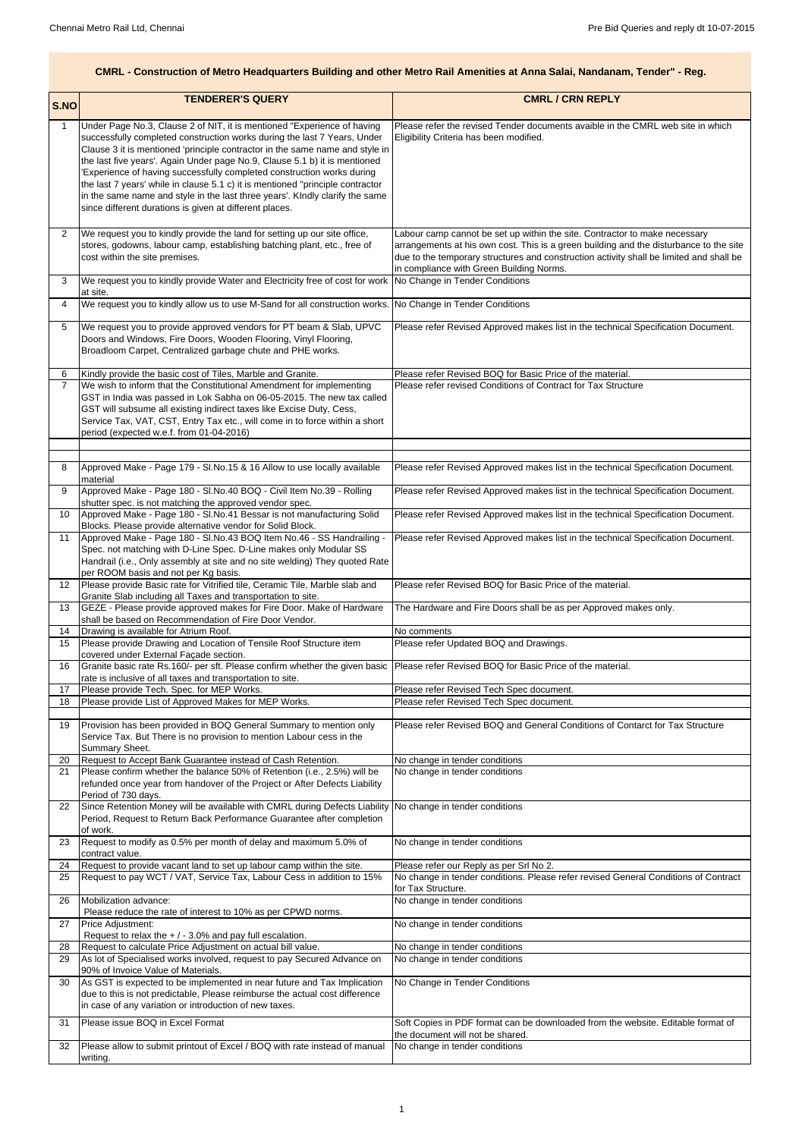|                     | <b>TENDERER'S QUERY</b>                                                                                                                                        | <b>CMRL / CRN REPLY</b>                                                                                                                                                           |
|---------------------|----------------------------------------------------------------------------------------------------------------------------------------------------------------|-----------------------------------------------------------------------------------------------------------------------------------------------------------------------------------|
| S.NO                |                                                                                                                                                                |                                                                                                                                                                                   |
| 1                   | Under Page No.3, Clause 2 of NIT, it is mentioned "Experience of having                                                                                        | Please refer the revised Tender documents avaible in the CMRL web site in which                                                                                                   |
|                     | successfully completed construction works during the last 7 Years, Under<br>Clause 3 it is mentioned 'principle contractor in the same name and style in       | Eligibility Criteria has been modified.                                                                                                                                           |
|                     | the last five years'. Again Under page No.9, Clause 5.1 b) it is mentioned                                                                                     |                                                                                                                                                                                   |
|                     | 'Experience of having successfully completed construction works during                                                                                         |                                                                                                                                                                                   |
|                     | the last 7 years' while in clause 5.1 c) it is mentioned "principle contractor<br>in the same name and style in the last three years'. Kindly clarify the same |                                                                                                                                                                                   |
|                     | since different durations is given at different places.                                                                                                        |                                                                                                                                                                                   |
|                     |                                                                                                                                                                |                                                                                                                                                                                   |
| 2                   | We request you to kindly provide the land for setting up our site office,                                                                                      | Labour camp cannot be set up within the site. Contractor to make necessary                                                                                                        |
|                     | stores, godowns, labour camp, establishing batching plant, etc., free of<br>cost within the site premises.                                                     | arrangements at his own cost. This is a green building and the disturbance to the site<br>due to the temporary structures and construction activity shall be limited and shall be |
|                     |                                                                                                                                                                | in compliance with Green Building Norms.                                                                                                                                          |
| 3                   | We request you to kindly provide Water and Electricity free of cost for work                                                                                   | No Change in Tender Conditions                                                                                                                                                    |
| 4                   | at site.<br>We request you to kindly allow us to use M-Sand for all construction works.                                                                        | No Change in Tender Conditions                                                                                                                                                    |
|                     |                                                                                                                                                                |                                                                                                                                                                                   |
| 5                   | We request you to provide approved vendors for PT beam & Slab, UPVC<br>Doors and Windows, Fire Doors, Wooden Flooring, Vinyl Flooring,                         | Please refer Revised Approved makes list in the technical Specification Document.                                                                                                 |
|                     | Broadloom Carpet, Centralized garbage chute and PHE works.                                                                                                     |                                                                                                                                                                                   |
|                     |                                                                                                                                                                |                                                                                                                                                                                   |
| 6<br>$\overline{7}$ | Kindly provide the basic cost of Tiles, Marble and Granite.<br>We wish to inform that the Constitutional Amendment for implementing                            | Please refer Revised BOQ for Basic Price of the material.<br>Please refer revised Conditions of Contract for Tax Structure                                                        |
|                     | GST in India was passed in Lok Sabha on 06-05-2015. The new tax called                                                                                         |                                                                                                                                                                                   |
|                     | GST will subsume all existing indirect taxes like Excise Duty, Cess,                                                                                           |                                                                                                                                                                                   |
|                     | Service Tax, VAT, CST, Entry Tax etc., will come in to force within a short<br>period (expected w.e.f. from 01-04-2016)                                        |                                                                                                                                                                                   |
|                     |                                                                                                                                                                |                                                                                                                                                                                   |
|                     |                                                                                                                                                                |                                                                                                                                                                                   |
| 8                   | Approved Make - Page 179 - SI.No.15 & 16 Allow to use locally available<br>material                                                                            | Please refer Revised Approved makes list in the technical Specification Document.                                                                                                 |
| 9                   | Approved Make - Page 180 - SI.No.40 BOQ - Civil Item No.39 - Rolling                                                                                           | Please refer Revised Approved makes list in the technical Specification Document.                                                                                                 |
|                     | shutter spec. is not matching the approved vendor spec.                                                                                                        |                                                                                                                                                                                   |
| 10                  | Approved Make - Page 180 - SI.No.41 Bessar is not manufacturing Solid<br>Blocks. Please provide alternative vendor for Solid Block.                            | Please refer Revised Approved makes list in the technical Specification Document.                                                                                                 |
| 11                  | Approved Make - Page 180 - SI.No.43 BOQ Item No.46 - SS Handrailing -                                                                                          | Please refer Revised Approved makes list in the technical Specification Document.                                                                                                 |
|                     | Spec. not matching with D-Line Spec. D-Line makes only Modular SS<br>Handrail (i.e., Only assembly at site and no site welding) They quoted Rate               |                                                                                                                                                                                   |
|                     | per ROOM basis and not per Kg basis.                                                                                                                           |                                                                                                                                                                                   |
| 12 <sub>2</sub>     | Please provide Basic rate for Vitrified tile, Ceramic Tile, Marble slab and                                                                                    | Please refer Revised BOQ for Basic Price of the material.                                                                                                                         |
| 13                  | Granite Slab including all Taxes and transportation to site.<br>GEZE - Please provide approved makes for Fire Door. Make of Hardware                           | The Hardware and Fire Doors shall be as per Approved makes only.                                                                                                                  |
|                     | shall be based on Recommendation of Fire Door Vendor.                                                                                                          |                                                                                                                                                                                   |
| 14                  | Drawing is available for Atrium Roof.                                                                                                                          | No comments                                                                                                                                                                       |
| 15                  | Please provide Drawing and Location of Tensile Roof Structure item<br>covered under External Façade section.                                                   | Please refer Updated BOQ and Drawings.                                                                                                                                            |
| 16                  | Granite basic rate Rs.160/- per sft. Please confirm whether the given basic                                                                                    | Please refer Revised BOQ for Basic Price of the material.                                                                                                                         |
|                     | rate is inclusive of all taxes and transportation to site.                                                                                                     |                                                                                                                                                                                   |
| 17<br>18            | Please provide Tech. Spec. for MEP Works.<br>Please provide List of Approved Makes for MEP Works.                                                              | Please refer Revised Tech Spec document.<br>Please refer Revised Tech Spec document.                                                                                              |
|                     |                                                                                                                                                                |                                                                                                                                                                                   |
| 19                  | Provision has been provided in BOQ General Summary to mention only<br>Service Tax. But There is no provision to mention Labour cess in the                     | Please refer Revised BOQ and General Conditions of Contarct for Tax Structure                                                                                                     |
|                     | Summary Sheet.                                                                                                                                                 |                                                                                                                                                                                   |
| 20                  | Request to Accept Bank Guarantee instead of Cash Retention.                                                                                                    | No change in tender conditions                                                                                                                                                    |
| 21                  | Please confirm whether the balance 50% of Retention (i.e., 2.5%) will be                                                                                       | No change in tender conditions                                                                                                                                                    |
|                     | refunded once year from handover of the Project or After Defects Liability<br>Period of 730 days.                                                              |                                                                                                                                                                                   |
| 22                  | Since Retention Money will be available with CMRL during Defects Liability                                                                                     | No change in tender conditions                                                                                                                                                    |
|                     | Period, Request to Return Back Performance Guarantee after completion<br>of work.                                                                              |                                                                                                                                                                                   |
| 23                  | Request to modify as 0.5% per month of delay and maximum 5.0% of                                                                                               | No change in tender conditions                                                                                                                                                    |
|                     | contract value.                                                                                                                                                |                                                                                                                                                                                   |
| 24<br>25            | Request to provide vacant land to set up labour camp within the site.<br>Request to pay WCT / VAT, Service Tax, Labour Cess in addition to 15%                 | Please refer our Reply as per Srl No 2.<br>No change in tender conditions. Please refer revised General Conditions of Contract                                                    |
|                     |                                                                                                                                                                | for Tax Structure.                                                                                                                                                                |
| 26                  | Mobilization advance:                                                                                                                                          | No change in tender conditions                                                                                                                                                    |
| 27                  | Please reduce the rate of interest to 10% as per CPWD norms.<br>Price Adjustment:                                                                              | No change in tender conditions                                                                                                                                                    |
|                     | Request to relax the $+/-3.0\%$ and pay full escalation.                                                                                                       |                                                                                                                                                                                   |
| 28<br>29            | Request to calculate Price Adjustment on actual bill value.<br>As lot of Specialised works involved, request to pay Secured Advance on                         | No change in tender conditions<br>No change in tender conditions                                                                                                                  |
|                     | 90% of Invoice Value of Materials.                                                                                                                             |                                                                                                                                                                                   |
| 30                  | As GST is expected to be implemented in near future and Tax Implication                                                                                        | No Change in Tender Conditions                                                                                                                                                    |
|                     | due to this is not predictable, Please reimburse the actual cost difference<br>in case of any variation or introduction of new taxes.                          |                                                                                                                                                                                   |
|                     | Please issue BOQ in Excel Format                                                                                                                               |                                                                                                                                                                                   |
| 31                  |                                                                                                                                                                | Soft Copies in PDF format can be downloaded from the website. Editable format of<br>the document will not be shared.                                                              |
| 32                  | Please allow to submit printout of Excel / BOQ with rate instead of manual                                                                                     | No change in tender conditions                                                                                                                                                    |
|                     | writing.                                                                                                                                                       |                                                                                                                                                                                   |

## **CMRL - Construction of Metro Headquarters Building and other Metro Rail Amenities at Anna Salai, Nandanam, Tender" - Reg.**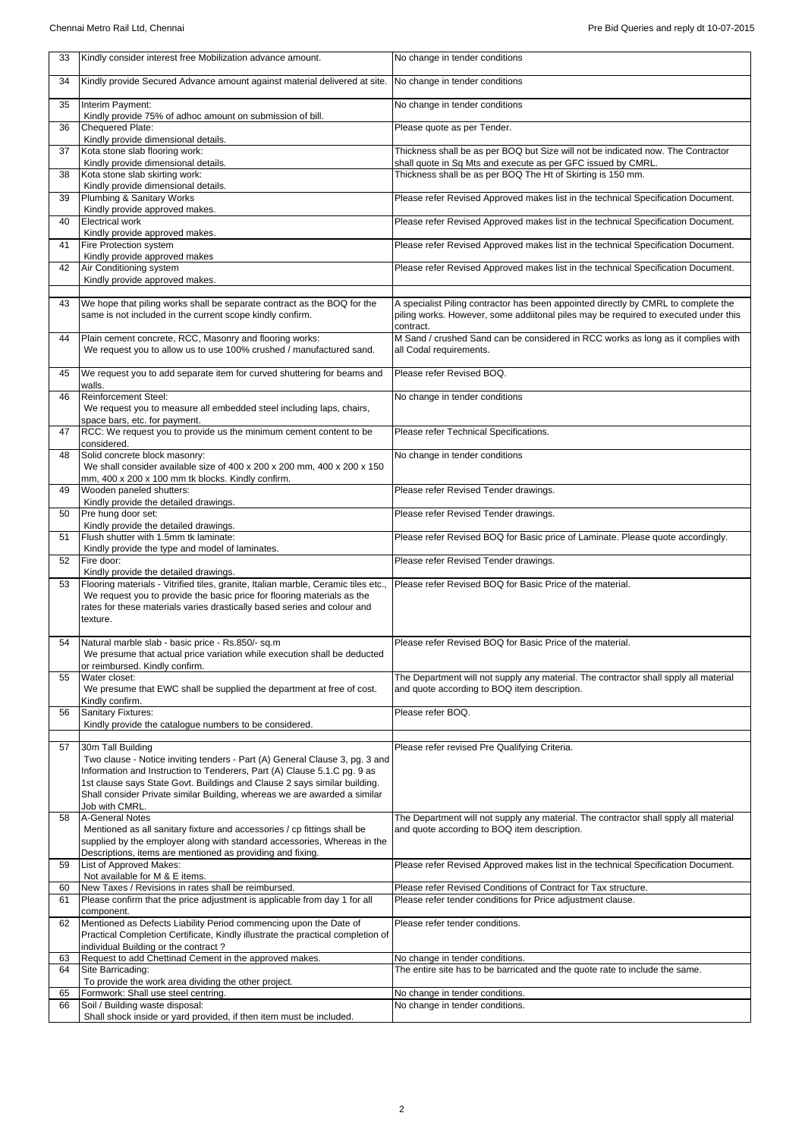| 33 | Kindly consider interest free Mobilization advance amount.                                                                                                                                                                                                                                                                                               | No change in tender conditions                                                                                                                                                         |
|----|----------------------------------------------------------------------------------------------------------------------------------------------------------------------------------------------------------------------------------------------------------------------------------------------------------------------------------------------------------|----------------------------------------------------------------------------------------------------------------------------------------------------------------------------------------|
| 34 | Kindly provide Secured Advance amount against material delivered at site.                                                                                                                                                                                                                                                                                | No change in tender conditions                                                                                                                                                         |
| 35 | Interim Payment:<br>Kindly provide 75% of adhoc amount on submission of bill.                                                                                                                                                                                                                                                                            | No change in tender conditions                                                                                                                                                         |
| 36 | Chequered Plate:<br>Kindly provide dimensional details.                                                                                                                                                                                                                                                                                                  | Please quote as per Tender.                                                                                                                                                            |
| 37 | Kota stone slab flooring work:<br>Kindly provide dimensional details.                                                                                                                                                                                                                                                                                    | Thickness shall be as per BOQ but Size will not be indicated now. The Contractor<br>shall quote in Sq Mts and execute as per GFC issued by CMRL.                                       |
| 38 | Kota stone slab skirting work:<br>Kindly provide dimensional details.                                                                                                                                                                                                                                                                                    | Thickness shall be as per BOQ The Ht of Skirting is 150 mm.                                                                                                                            |
| 39 | Plumbing & Sanitary Works<br>Kindly provide approved makes.                                                                                                                                                                                                                                                                                              | Please refer Revised Approved makes list in the technical Specification Document.                                                                                                      |
| 40 | <b>Electrical work</b><br>Kindly provide approved makes.                                                                                                                                                                                                                                                                                                 | Please refer Revised Approved makes list in the technical Specification Document.                                                                                                      |
| 41 | Fire Protection system<br>Kindly provide approved makes                                                                                                                                                                                                                                                                                                  | Please refer Revised Approved makes list in the technical Specification Document.                                                                                                      |
| 42 | Air Conditioning system<br>Kindly provide approved makes.                                                                                                                                                                                                                                                                                                | Please refer Revised Approved makes list in the technical Specification Document.                                                                                                      |
| 43 | We hope that piling works shall be separate contract as the BOQ for the<br>same is not included in the current scope kindly confirm.                                                                                                                                                                                                                     | A specialist Piling contractor has been appointed directly by CMRL to complete the<br>piling works. However, some addiitonal piles may be required to executed under this<br>contract. |
| 44 | Plain cement concrete, RCC, Masonry and flooring works:<br>We request you to allow us to use 100% crushed / manufactured sand.                                                                                                                                                                                                                           | M Sand / crushed Sand can be considered in RCC works as long as it complies with<br>all Codal requirements.                                                                            |
| 45 | We request you to add separate item for curved shuttering for beams and<br>walls.                                                                                                                                                                                                                                                                        | Please refer Revised BOQ.                                                                                                                                                              |
| 46 | <b>Reinforcement Steel:</b><br>We request you to measure all embedded steel including laps, chairs,<br>space bars, etc. for payment.                                                                                                                                                                                                                     | No change in tender conditions                                                                                                                                                         |
| 47 | RCC: We request you to provide us the minimum cement content to be<br>considered.                                                                                                                                                                                                                                                                        | Please refer Technical Specifications.                                                                                                                                                 |
| 48 | Solid concrete block masonry:<br>We shall consider available size of 400 x 200 x 200 mm, 400 x 200 x 150<br>mm, 400 x 200 x 100 mm tk blocks. Kindly confirm.                                                                                                                                                                                            | No change in tender conditions                                                                                                                                                         |
| 49 | Wooden paneled shutters:<br>Kindly provide the detailed drawings.                                                                                                                                                                                                                                                                                        | Please refer Revised Tender drawings.                                                                                                                                                  |
| 50 | Pre hung door set:<br>Kindly provide the detailed drawings.                                                                                                                                                                                                                                                                                              | Please refer Revised Tender drawings.                                                                                                                                                  |
| 51 | Flush shutter with 1.5mm tk laminate:<br>Kindly provide the type and model of laminates.                                                                                                                                                                                                                                                                 | Please refer Revised BOQ for Basic price of Laminate. Please quote accordingly.                                                                                                        |
| 52 | Fire door:<br>Kindly provide the detailed drawings.                                                                                                                                                                                                                                                                                                      | Please refer Revised Tender drawings.                                                                                                                                                  |
| 53 | Flooring materials - Vitrified tiles, granite, Italian marble, Ceramic tiles etc.,<br>We request you to provide the basic price for flooring materials as the<br>rates for these materials varies drastically based series and colour and<br>texture.                                                                                                    | Please refer Revised BOQ for Basic Price of the material.                                                                                                                              |
| 54 | Natural marble slab - basic price - Rs.850/- sq.m<br>We presume that actual price variation while execution shall be deducted<br>or reimbursed. Kindly confirm.                                                                                                                                                                                          | Please refer Revised BOQ for Basic Price of the material.                                                                                                                              |
| 55 | Water closet:<br>We presume that EWC shall be supplied the department at free of cost.<br>Kindly confirm.                                                                                                                                                                                                                                                | The Department will not supply any material. The contractor shall spply all material<br>and quote according to BOQ item description.                                                   |
| 56 | <b>Sanitary Fixtures:</b><br>Kindly provide the catalogue numbers to be considered.                                                                                                                                                                                                                                                                      | Please refer BOQ.                                                                                                                                                                      |
| 57 | 30m Tall Building<br>Two clause - Notice inviting tenders - Part (A) General Clause 3, pg. 3 and<br>Information and Instruction to Tenderers, Part (A) Clause 5.1.C pg. 9 as<br>1st clause says State Govt. Buildings and Clause 2 says similar building.<br>Shall consider Private similar Building, whereas we are awarded a similar<br>Job with CMRL. | Please refer revised Pre Qualifying Criteria.                                                                                                                                          |
| 58 | A-General Notes<br>Mentioned as all sanitary fixture and accessories / cp fittings shall be<br>supplied by the employer along with standard accessories, Whereas in the<br>Descriptions, items are mentioned as providing and fixing.                                                                                                                    | The Department will not supply any material. The contractor shall spply all material<br>and quote according to BOQ item description.                                                   |

| 59 | List of Approved Makes:                                                         | Please refer Revised Approved makes list in the technical Specification Document. |
|----|---------------------------------------------------------------------------------|-----------------------------------------------------------------------------------|
|    | Not available for M & E items.                                                  |                                                                                   |
| 60 | New Taxes / Revisions in rates shall be reimbursed.                             | Please refer Revised Conditions of Contract for Tax structure.                    |
| 61 | Please confirm that the price adjustment is applicable from day 1 for all       | Please refer tender conditions for Price adjustment clause.                       |
|    | component.                                                                      |                                                                                   |
| 62 | Mentioned as Defects Liability Period commencing upon the Date of               | Please refer tender conditions.                                                   |
|    | Practical Completion Certificate, Kindly illustrate the practical completion of |                                                                                   |
|    | individual Building or the contract?                                            |                                                                                   |
| 63 | Request to add Chettinad Cement in the approved makes.                          | No change in tender conditions.                                                   |
| 64 | Site Barricading:                                                               | The entire site has to be barricated and the quote rate to include the same.      |
|    | To provide the work area dividing the other project.                            |                                                                                   |
| 65 | Formwork: Shall use steel centring.                                             | No change in tender conditions.                                                   |
| 66 | Soil / Building waste disposal:                                                 | No change in tender conditions.                                                   |
|    | Shall shock inside or yard provided, if then item must be included.             |                                                                                   |